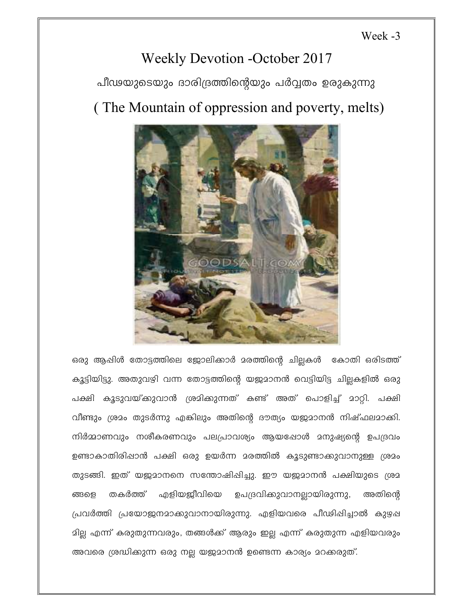Week -3

## **Weekly Devotion -October 2017**

പീഢയുടെയും ദാരിദ്രത്തിന്റെയും പർവ്വതം ഉരുകുന്നു

## (The Mountain of oppression and poverty, melts)



ഒരു ആപ്പിൾ തോട്ടത്തിലെ ജോലിക്കാർ മരത്തിന്റെ ചില്ലകൾ കോതി ഒരിടത്ത് കൂട്ടിയിട്ടു. അതുവഴി വന്ന തോട്ടത്തിന്റെ യജ്ജമാനൻ വെട്ടിയിട്ട ചില്ലകളിൽ ഒരു പക്ഷി കൂടുവയ്കുവാൻ ശ്രമിക്കുന്നത് കണ്ട് അത് പൊളിച്ച് മാറ്റി. പക്ഷി വീണ്ടും ശ്രമം തുടർന്നു എങ്കിലും അതിന്റെ ദൗത്യം യജമാനൻ നിഷ്ഫലമാക്കി. നിർമ്മാണവും നശീകരണവും പലപ്രാവശ്യം ആയഷോൾ മനുഷ്യന്റെ ഉപദ്രവം ഉണ്ടാകാതിരിഷാൻ പക്ഷി ഒരു ഉയർന്ന മരത്തിൽ കൂടുണ്ടാക്കുവാനുള്ള ശ്രമം തുടങ്ങി. ഇത് യജമാനനെ സന്തോഷിപ്പിച്ചു. ഈ യജമാനൻ പക്ഷിയുടെ ശ്രമ എളിയജ്ജീവിയെ ഉപദ്രവികുവാനല്ലായിരുന്നു, ങ്ങളെ തകർത്ത് അതിന്റെ പ്രവർത്തി പ്രയോജനമാക്കുവാനായിരുന്നു. എളിയവരെ പീഢിഷിച്ചാൽ കുഴഷ മില്ല എന്ന് കരുതുന്നവരും, തങ്ങൾക്ക് ആരും ഇല്ല എന്ന് കരുതുന്ന എളിയവരും അവരെ ശ്രദ്ധിക്കുന്ന ഒരു നല്ല യജമാനൻ ഉണ്ടെന്ന കാര്യം മറക്കരുത്.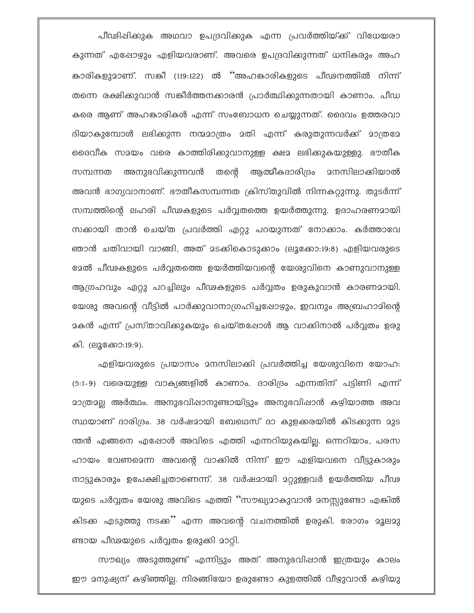പീഢിഷിക്കുക അഥവാ ഉപദ്രവിക്കുക എന്ന പ്രവർത്തിയ്ക്ക് വിധേയരാ കുന്നത് എഷോഴും എളിയവരാണ്. അവരെ ഉപദ്രവിക്കുന്നത് ധനികരും അഹ കാരികളുമാണ്. സങ്കീ (119:122) ൽ ''അഹങ്കാരികളുടെ പീഢനത്തിൽ നിന്ന് തന്നെ രക്ഷിക്കുവാൻ സങ്കീർത്തനക്കാരൻ പ്രാർത്ഥിക്കുന്നതായി കാണാം. പീഡ കരെ ആണ് അഹങ്കാരികൾ എന്ന് സംബോധന ചെയ്യുന്നത്. ദൈവം ഉത്തരവാ ദിയാകുമ്പോൾ ലഭിക്കുന്ന നന്മമാത്രം മതി എന്ന് കരുതുന്നവർക്ക് മാത്രമേ ദൈവീക സമയം വരെ കാത്തിരിക്കുവാനുള്ള ക്ഷമ ലഭിക്കുകയുള്ളു. ഭൗതീക അനുഭവിക്കുന്നവൻ തന്റെ ആത്മീകദാരിദ്രം മനസിലാക്കിയാൽ സമ്പന്നത അവൻ ഭാഗ്യവാനാണ്. ഭൗതീകസമ്പന്നത ക്രിസ്തുവിൽ നിന്നകറ്റുന്നു. തുടർന്ന് സമ്പത്തിന്റെ ലഹരി പീഢകളുടെ പർവ്വതത്തെ ഉയർത്തുന്നു. ഉദാഹരണമായി സക്കായി താൻ ചെയ്ത പ്രവർത്തി ഏറ്റു പറയുന്നത് നോക്കാം. കർത്താവേ ഞാൻ ചതിവായി വാങ്ങി, അത് മടക്കികൊടുക്കാം (ലൂക്കോ:19:8) എളിയവരുടെ ഭേൽ പീഢകളുടെ പർവ്വതത്തെ ഉയർത്തിയവന്റെ യേശുവിനെ കാണുവാനുള്ള ആഗ്രഹവും ഏറ്റു പറച്ചിലും പീഢകളുടെ പർവ്വതം ഉരുകുവാൻ കാരണമായി. യേശു അവന്റെ വീട്ടിൽ പാർക്കുവാനാഗ്രഹിച്ചപ്പോഴും, ഇവനും അബ്രഹാമിന്റെ മകൻ എന്ന് പ്രസ്താവിക്കുകയും ചെയ്തപ്പോൾ ആ വാക്കിനാൽ പർവ്വതം ഉരു കി. (ലൂക്കോ:19:9).

എളിയവരുടെ പ്രയാസം മനസിലാക്കി പ്രവർത്തിച്ച യേശുവിനെ യോഹ: (5:1-9) വരെയുള്ള വാക്യങ്ങളിൽ കാണാം. ദാരിദ്രം എന്നതിന് പട്ടിണി എന്ന് മാത്രമല്ല അർത്ഥം. അനുഭവിഷാനുണ്ടായിട്ടും അനുഭവിഷാൻ കഴിയാത്ത അവ സ്ഥയാണ് ദാരിദ്രം. 38 വർഷമായി ബേഥെസ് ദാ കുളക്കരയിൽ കിടക്കുന്ന മുട ന്തൻ എങ്ങനെ എഷോൾ അവിടെ എത്തി എന്നറിയുകയില്ല. ഒന്നറിയാം, പരസ ഹായം വേണമെന്ന അവന്റെ വാക്കിൽ നിന്ന് ഈ എളിയവനെ വീട്ടുകാരും നാട്ടുകാരും ഉപേക്ഷിച്ചതാണെന്ന്. 38 വർഷമായി മറ്റുള്ളവർ ഉയർത്തിയ പീഢ യുടെ പർവ്വതം യേശു അവിടെ എത്തി ''സൗഖ്യമാകുവാൻ മനസ്സുണ്ടോ എങ്കിൽ കിടക്ക എടുത്തു നടക്ക്' എന്ന അവന്റെ വചനത്തിൽ ഉരുകി. രോഗം മൂലമു ണ്ടായ പീഢയുടെ പർവ്വതം ഉരുക്കി മാറ്റി.

സൗഖ്യം അടുത്തുണ്ട് എന്നിട്ടും അത് അനുഭവിഷാൻ ഇത്രയും കാലം ഈ 2നുഷ്യന് കഴിഞ്ഞില്ല. നിരങ്ങിയോ ഉരുണ്ടോ കുളത്തിൽ വീഴുവാൻ കഴിയു